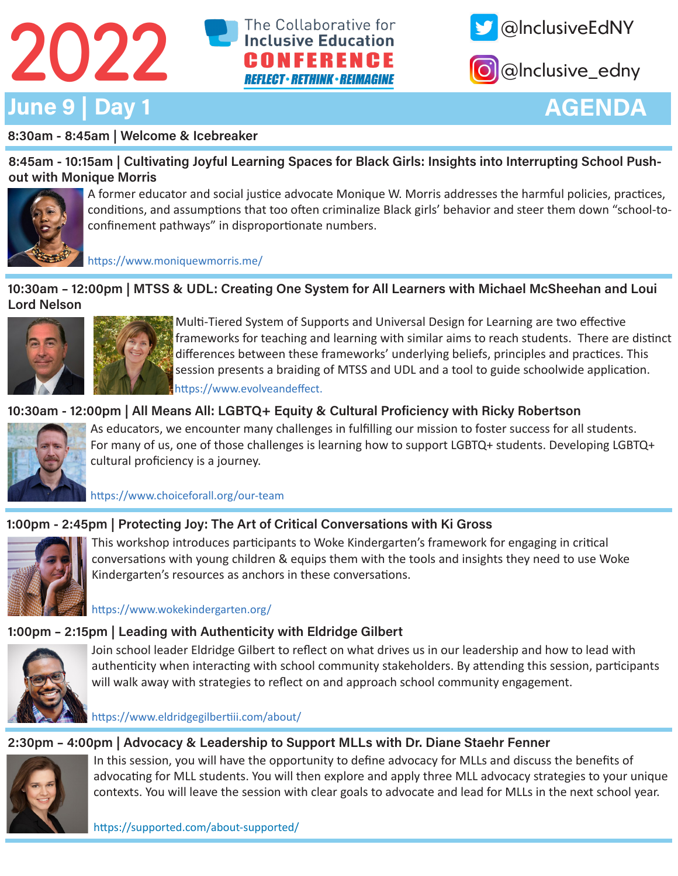





@lnclusive\_edny

# AGENDA

### 8:30am - 8:45am | Welcome & Icebreaker

8:45am - 10:15am | Cultivating Joyful Learning Spaces for Black Girls: Insights into Interrupting School Pushout with Monique Morris



A former educator and social justice advocate Monique W. Morris addresses the harmful policies, practices, conditions, and assumptions that too often criminalize Black girls' behavior and steer them down "school-toconfinement pathways" in disproportionate numbers.

https://www.moniquewmorris.me/

10:30am – 12:00pm | MTSS & UDL: Creating One System for All Learners with Michael McSheehan and Loui Lord Nelson



Multi-Tiered System of Supports and Universal Design for Learning are two effective frameworks for teaching and learning with similar aims to reach students. There are distinct differences between these frameworks' underlying beliefs, principles and practices. This session presents a braiding of MTSS and UDL and a tool to guide schoolwide application. https://www.evolveandeffect.

## 10:30am - 12:00pm | All Means All: LGBTQ+ Equity & Cultural Proficiency with Ricky Robertson



As educators, we encounter many challenges in fulfilling our mission to foster success for all students. For many of us, one of those challenges is learning how to support LGBTQ+ students. Developing LGBTQ+ cultural proficiency is a journey.

https://www.choiceforall.org/our-team

## 1:00pm - 2:45pm | Protecting Joy: The Art of Critical Conversations with Ki Gross



This workshop introduces participants to Woke Kindergarten's framework for engaging in critical conversations with young children & equips them with the tools and insights they need to use Woke Kindergarten's resources as anchors in these conversations.

https://www.wokekindergarten.org/

## 1:00pm – 2:15pm | Leading with Authenticity with Eldridge Gilbert



Join school leader Eldridge Gilbert to reflect on what drives us in our leadership and how to lead with authenticity when interacting with school community stakeholders. By attending this session, participants will walk away with strategies to reflect on and approach school community engagement.

https://www.eldridgegilbertiii.com/about/

## 2:30pm – 4:00pm | Advocacy & Leadership to Support MLLs with Dr. Diane Staehr Fenner



In this session, you will have the opportunity to define advocacy for MLLs and discuss the benefits of advocating for MLL students. You will then explore and apply three MLL advocacy strategies to your unique contexts. You will leave the session with clear goals to advocate and lead for MLLs in the next school year.